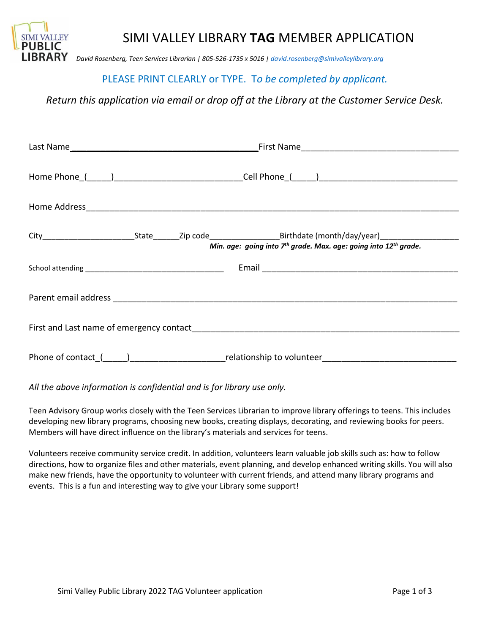

## SIMI VALLEY LIBRARY **TAG** MEMBER APPLICATION

*David Rosenberg, Teen Services Librarian | 805-526-1735 x 5016 [| david.rosenberg@simivalleylibrary.org](mailto:david.rosenberg@simivalleylibrary.org)*

## PLEASE PRINT CLEARLY or TYPE. T*o be completed by applicant.*

*Return this application via email or drop off at the Library at the Customer Service Desk.*

|  |  |  | Min. age: going into $7th$ grade. Max. age: going into $12th$ grade.                                           |  |
|--|--|--|----------------------------------------------------------------------------------------------------------------|--|
|  |  |  |                                                                                                                |  |
|  |  |  |                                                                                                                |  |
|  |  |  |                                                                                                                |  |
|  |  |  | Phone of contact_(_____)____________________________relationship to volunteer_________________________________ |  |

*All the above information is confidential and is for library use only.* 

Teen Advisory Group works closely with the Teen Services Librarian to improve library offerings to teens. This includes developing new library programs, choosing new books, creating displays, decorating, and reviewing books for peers. Members will have direct influence on the library's materials and services for teens.

Volunteers receive community service credit. In addition, volunteers learn valuable job skills such as: how to follow directions, how to organize files and other materials, event planning, and develop enhanced writing skills. You will also make new friends, have the opportunity to volunteer with current friends, and attend many library programs and events. This is a fun and interesting way to give your Library some support!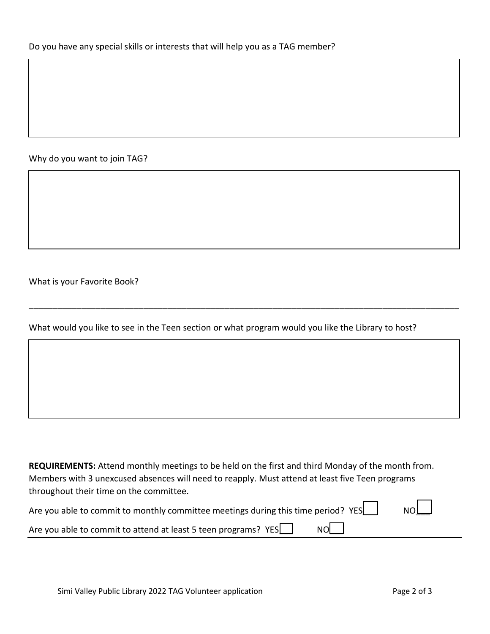Why do you want to join TAG?

What is your Favorite Book?

What would you like to see in the Teen section or what program would you like the Library to host?

\_\_\_\_\_\_\_\_\_\_\_\_\_\_\_\_\_\_\_\_\_\_\_\_\_\_\_\_\_\_\_\_\_\_\_\_\_\_\_\_\_\_\_\_\_\_\_\_\_\_\_\_\_\_\_\_\_\_\_\_\_\_\_\_\_\_\_\_\_\_\_\_\_\_\_\_\_\_\_\_\_\_\_\_\_\_\_\_\_\_

**REQUIREMENTS:** Attend monthly meetings to be held on the first and third Monday of the month from. Members with 3 unexcused absences will need to reapply. Must attend at least five Teen programs throughout their time on the committee.

| Are you able to commit to monthly committee meetings during this time period? YES | NO |  |
|-----------------------------------------------------------------------------------|----|--|
|-----------------------------------------------------------------------------------|----|--|

Are you able to commit to attend at least 5 teen programs?  $YES$  NO